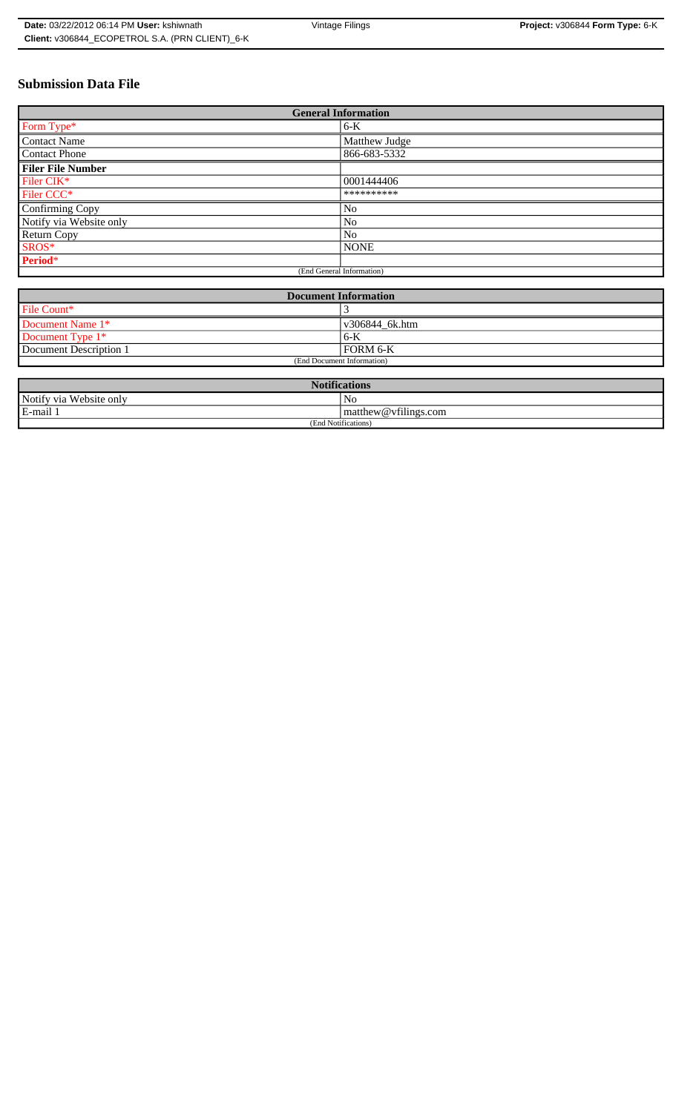# **Submission Data File**

| <b>General Information</b> |                |
|----------------------------|----------------|
| Form Type*                 | $6-K$          |
| <b>Contact Name</b>        | Matthew Judge  |
| <b>Contact Phone</b>       | 866-683-5332   |
| <b>Filer File Number</b>   |                |
| Filer CIK*                 | 0001444406     |
| Filer CCC*                 | **********     |
| Confirming Copy            | N <sub>0</sub> |
| Notify via Website only    | No             |
| <b>Return Copy</b>         | N <sub>0</sub> |
| SROS*                      | <b>NONE</b>    |
| Period*                    |                |
| (End General Information)  |                |

| <b>Document Information</b> |                 |
|-----------------------------|-----------------|
| File Count*                 |                 |
| Document Name 1*            | v306844 6k.htm  |
| Document Type 1*            | 6-K             |
| Document Description 1      | <b>FORM 6-K</b> |
| (End Document Information)  |                 |

| <b>Notifications</b>         |                                |
|------------------------------|--------------------------------|
| Notify via<br>u Website only | No                             |
| E-mail 1                     | $\vert$ matthew @ vfilings.com |
| (End Notifications)          |                                |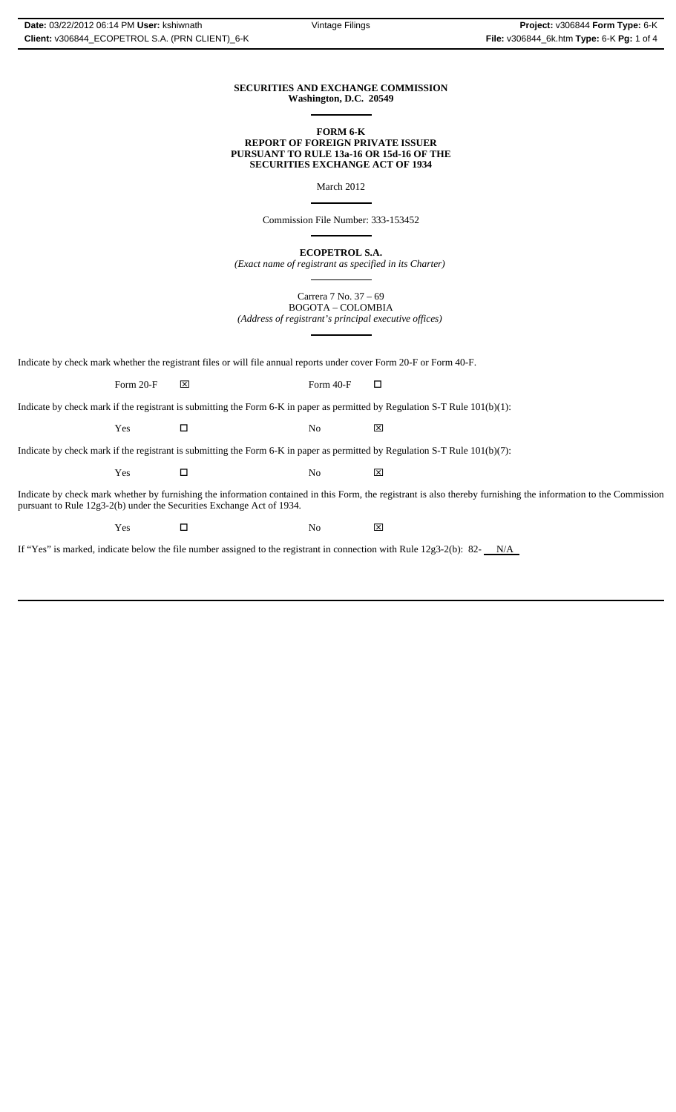#### **SECURITIES AND EXCHANGE COMMISSION Washington, D.C. 20549**  $\overline{a}$

#### **FORM 6-K REPORT OF FOREIGN PRIVATE ISSUER PURSUANT TO RULE 13a-16 OR 15d-16 OF THE SECURITIES EXCHANGE ACT OF 1934**

March 2012

 $\overline{a}$ 

 $\overline{a}$ 

 $\overline{a}$ 

Commission File Number: 333-153452

**ECOPETROL S.A.**

*(Exact name of registrant as specified in its Charter)* ֦

Carrera 7 No. 37 – 69 BOGOTA – COLOMBIA *(Address of registrant's principal executive offices)*

Indicate by check mark whether the registrant files or will file annual reports under cover Form 20-F or Form 40-F.

Form 20-F  $\boxtimes$  Form 40-F  $\Box$ 

Indicate by check mark if the registrant is submitting the Form 6-K in paper as permitted by Regulation S-T Rule 101(b)(1):

Yes □ No ⊠

Indicate by check mark if the registrant is submitting the Form 6-K in paper as permitted by Regulation S-T Rule 101(b)(7):

 $\Gamma$   $\blacksquare$   $\blacksquare$   $\blacksquare$   $\blacksquare$   $\blacksquare$   $\blacksquare$ 

Indicate by check mark whether by furnishing the information contained in this Form, the registrant is also thereby furnishing the information to the Commission pursuant to Rule 12g3-2(b) under the Securities Exchange Act of 1934.

 $\Gamma$   $\blacksquare$   $\blacksquare$   $\blacksquare$   $\blacksquare$   $\blacksquare$   $\blacksquare$ 

If "Yes" is marked, indicate below the file number assigned to the registrant in connection with Rule  $12g3-2(b)$ : 82- $N/A$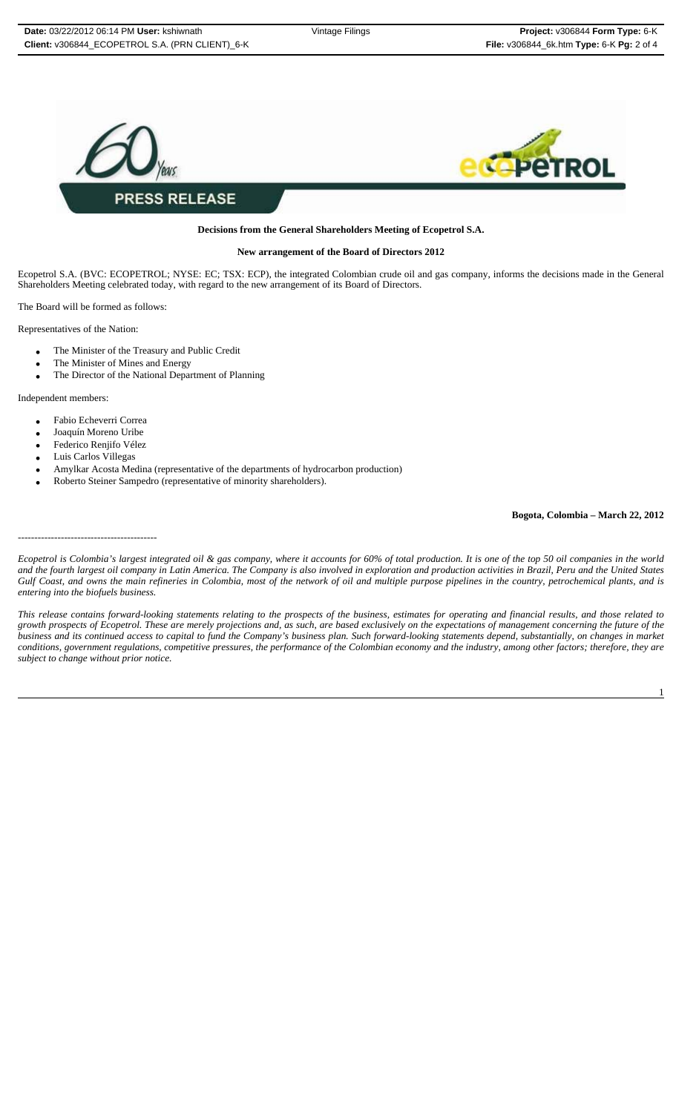

## **Decisions from the General Shareholders Meeting of Ecopetrol S.A.**

#### **New arrangement of the Board of Directors 2012**

Ecopetrol S.A. (BVC: ECOPETROL; NYSE: EC; TSX: ECP), the integrated Colombian crude oil and gas company, informs the decisions made in the General Shareholders Meeting celebrated today, with regard to the new arrangement of its Board of Directors.

The Board will be formed as follows:

Representatives of the Nation:

- The Minister of the Treasury and Public Credit
- The Minister of Mines and Energy
- The Director of the National Department of Planning

Independent members:

- Fabio Echeverri Correa
- Joaquín Moreno Uribe
- Federico Renjifo Vélez
- Luis Carlos Villegas

------------------------------------------

- Amylkar Acosta Medina (representative of the departments of hydrocarbon production)
- Roberto Steiner Sampedro (representative of minority shareholders).

## **Bogota, Colombia – March 22, 2012**

*Ecopetrol is Colombia's largest integrated oil & gas company, where it accounts for 60% of total production. It is one of the top 50 oil companies in the world and the fourth largest oil company in Latin America. The Company is also involved in exploration and production activities in Brazil, Peru and the United States Gulf Coast, and owns the main refineries in Colombia, most of the network of oil and multiple purpose pipelines in the country, petrochemical plants, and is entering into the biofuels business.*

*This release contains forward-looking statements relating to the prospects of the business, estimates for operating and financial results, and those related to growth prospects of Ecopetrol. These are merely projections and, as such, are based exclusively on the expectations of management concerning the future of the business and its continued access to capital to fund the Company's business plan. Such forward-looking statements depend, substantially, on changes in market conditions, government regulations, competitive pressures, the performance of the Colombian economy and the industry, among other factors; therefore, they are subject to change without prior notice.*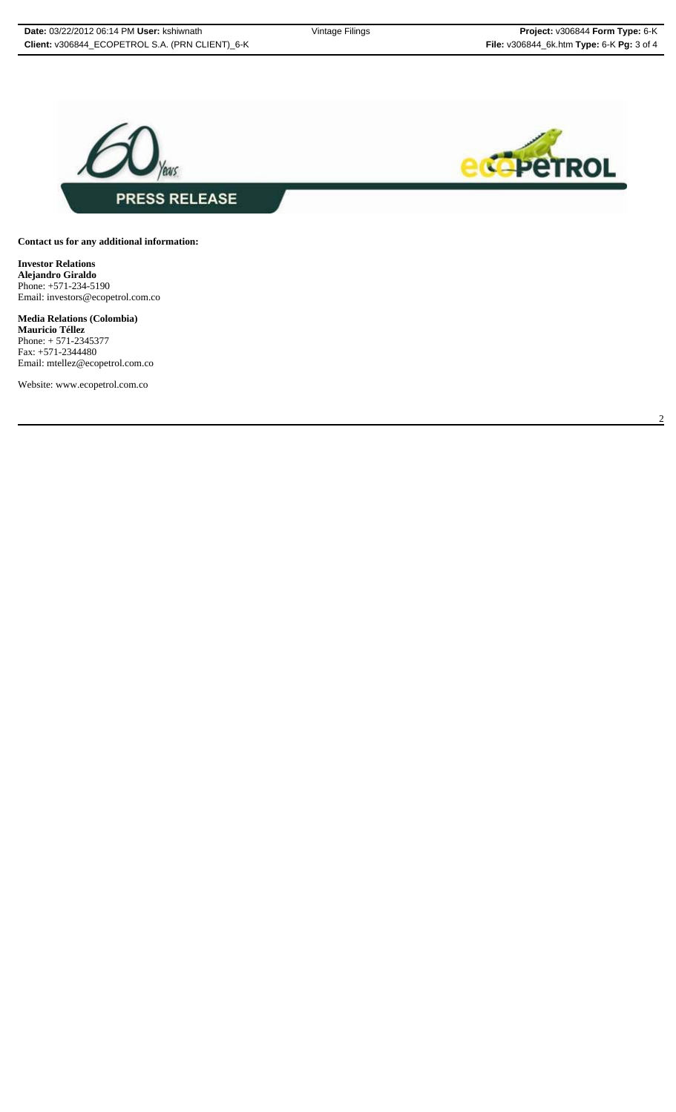2



## **Contact us for any additional information:**

**Investor Relations Alejandro Giraldo** Phone: +571-234-5190 Email: investors@ecopetrol.com.co

**Media Relations (Colombia) Mauricio Téllez** Phone: + 571-2345377 Fax: +571-2344480 Email: mtellez@ecopetrol.com.co

Website: www.ecopetrol.com.co